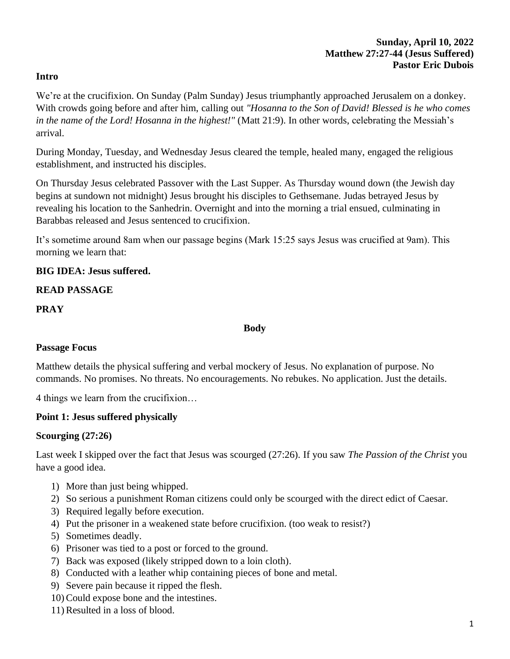#### **Sunday, April 10, 2022 Matthew 27:27-44 (Jesus Suffered) Pastor Eric Dubois**

#### **Intro**

We're at the crucifixion. On Sunday (Palm Sunday) Jesus triumphantly approached Jerusalem on a donkey. With crowds going before and after him, calling out *"Hosanna to the Son of David! Blessed is he who comes in the name of the Lord! Hosanna in the highest!"* (Matt 21:9). In other words, celebrating the Messiah's arrival.

During Monday, Tuesday, and Wednesday Jesus cleared the temple, healed many, engaged the religious establishment, and instructed his disciples.

On Thursday Jesus celebrated Passover with the Last Supper. As Thursday wound down (the Jewish day begins at sundown not midnight) Jesus brought his disciples to Gethsemane. Judas betrayed Jesus by revealing his location to the Sanhedrin. Overnight and into the morning a trial ensued, culminating in Barabbas released and Jesus sentenced to crucifixion.

It's sometime around 8am when our passage begins (Mark 15:25 says Jesus was crucified at 9am). This morning we learn that:

#### **BIG IDEA: Jesus suffered.**

#### **READ PASSAGE**

#### **PRAY**

#### **Body**

#### **Passage Focus**

Matthew details the physical suffering and verbal mockery of Jesus. No explanation of purpose. No commands. No promises. No threats. No encouragements. No rebukes. No application. Just the details.

4 things we learn from the crucifixion…

#### **Point 1: Jesus suffered physically**

#### **Scourging (27:26)**

Last week I skipped over the fact that Jesus was scourged (27:26). If you saw *The Passion of the Christ* you have a good idea.

- 1) More than just being whipped.
- 2) So serious a punishment Roman citizens could only be scourged with the direct edict of Caesar.
- 3) Required legally before execution.
- 4) Put the prisoner in a weakened state before crucifixion. (too weak to resist?)
- 5) Sometimes deadly.
- 6) Prisoner was tied to a post or forced to the ground.
- 7) Back was exposed (likely stripped down to a loin cloth).
- 8) Conducted with a leather whip containing pieces of bone and metal.
- 9) Severe pain because it ripped the flesh.
- 10) Could expose bone and the intestines.
- 11) Resulted in a loss of blood.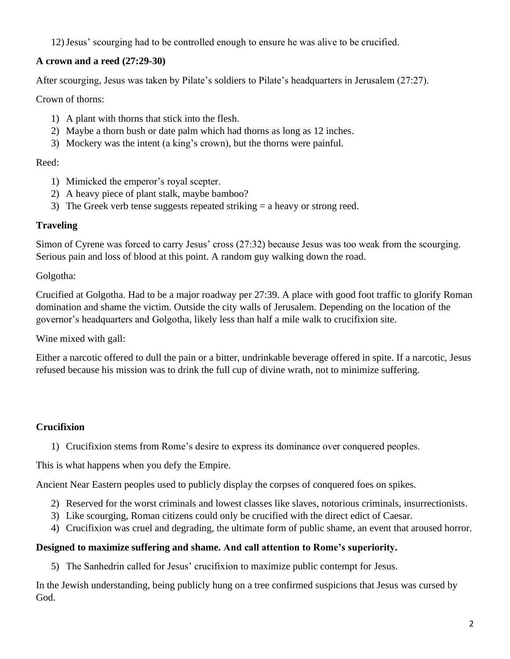12)Jesus' scourging had to be controlled enough to ensure he was alive to be crucified.

## **A crown and a reed (27:29-30)**

After scourging, Jesus was taken by Pilate's soldiers to Pilate's headquarters in Jerusalem (27:27).

Crown of thorns:

- 1) A plant with thorns that stick into the flesh.
- 2) Maybe a thorn bush or date palm which had thorns as long as 12 inches.
- 3) Mockery was the intent (a king's crown), but the thorns were painful.

## Reed:

- 1) Mimicked the emperor's royal scepter.
- 2) A heavy piece of plant stalk, maybe bamboo?
- 3) The Greek verb tense suggests repeated striking  $=$  a heavy or strong reed.

## **Traveling**

Simon of Cyrene was forced to carry Jesus' cross (27:32) because Jesus was too weak from the scourging. Serious pain and loss of blood at this point. A random guy walking down the road.

Golgotha:

Crucified at Golgotha. Had to be a major roadway per 27:39. A place with good foot traffic to glorify Roman domination and shame the victim. Outside the city walls of Jerusalem. Depending on the location of the governor's headquarters and Golgotha, likely less than half a mile walk to crucifixion site.

Wine mixed with gall:

Either a narcotic offered to dull the pain or a bitter, undrinkable beverage offered in spite. If a narcotic, Jesus refused because his mission was to drink the full cup of divine wrath, not to minimize suffering.

# **Crucifixion**

1) Crucifixion stems from Rome's desire to express its dominance over conquered peoples.

This is what happens when you defy the Empire.

Ancient Near Eastern peoples used to publicly display the corpses of conquered foes on spikes.

- 2) Reserved for the worst criminals and lowest classes like slaves, notorious criminals, insurrectionists.
- 3) Like scourging, Roman citizens could only be crucified with the direct edict of Caesar.
- 4) Crucifixion was cruel and degrading, the ultimate form of public shame, an event that aroused horror.

## **Designed to maximize suffering and shame. And call attention to Rome's superiority.**

5) The Sanhedrin called for Jesus' crucifixion to maximize public contempt for Jesus.

In the Jewish understanding, being publicly hung on a tree confirmed suspicions that Jesus was cursed by God.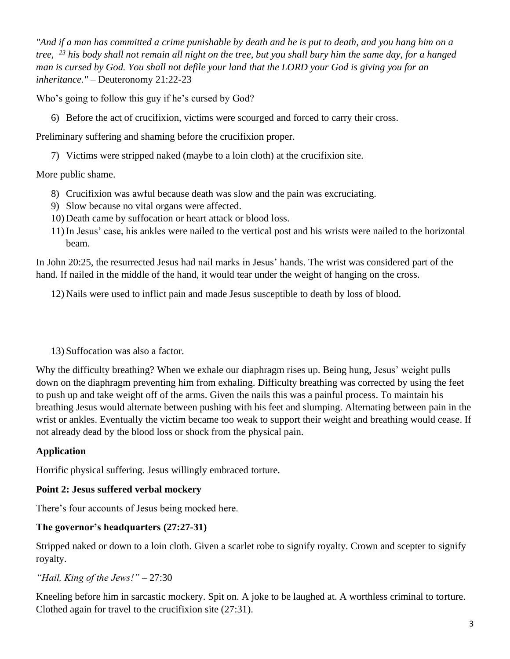*"And if a man has committed a crime punishable by death and he is put to death, and you hang him on a tree, <sup>23</sup> his body shall not remain all night on the tree, but you shall bury him the same day, for a hanged man is cursed by God. You shall not defile your land that the LORD your God is giving you for an inheritance."* – Deuteronomy 21:22-23

Who's going to follow this guy if he's cursed by God?

6) Before the act of crucifixion, victims were scourged and forced to carry their cross.

Preliminary suffering and shaming before the crucifixion proper.

7) Victims were stripped naked (maybe to a loin cloth) at the crucifixion site.

## More public shame.

- 8) Crucifixion was awful because death was slow and the pain was excruciating.
- 9) Slow because no vital organs were affected.
- 10) Death came by suffocation or heart attack or blood loss.
- 11) In Jesus' case, his ankles were nailed to the vertical post and his wrists were nailed to the horizontal beam.

In John 20:25, the resurrected Jesus had nail marks in Jesus' hands. The wrist was considered part of the hand. If nailed in the middle of the hand, it would tear under the weight of hanging on the cross.

12) Nails were used to inflict pain and made Jesus susceptible to death by loss of blood.

13) Suffocation was also a factor.

Why the difficulty breathing? When we exhale our diaphragm rises up. Being hung, Jesus' weight pulls down on the diaphragm preventing him from exhaling. Difficulty breathing was corrected by using the feet to push up and take weight off of the arms. Given the nails this was a painful process. To maintain his breathing Jesus would alternate between pushing with his feet and slumping. Alternating between pain in the wrist or ankles. Eventually the victim became too weak to support their weight and breathing would cease. If not already dead by the blood loss or shock from the physical pain.

## **Application**

Horrific physical suffering. Jesus willingly embraced torture.

## **Point 2: Jesus suffered verbal mockery**

There's four accounts of Jesus being mocked here.

## **The governor's headquarters (27:27-31)**

Stripped naked or down to a loin cloth. Given a scarlet robe to signify royalty. Crown and scepter to signify royalty.

## *"Hail, King of the Jews!"* – 27:30

Kneeling before him in sarcastic mockery. Spit on. A joke to be laughed at. A worthless criminal to torture. Clothed again for travel to the crucifixion site (27:31).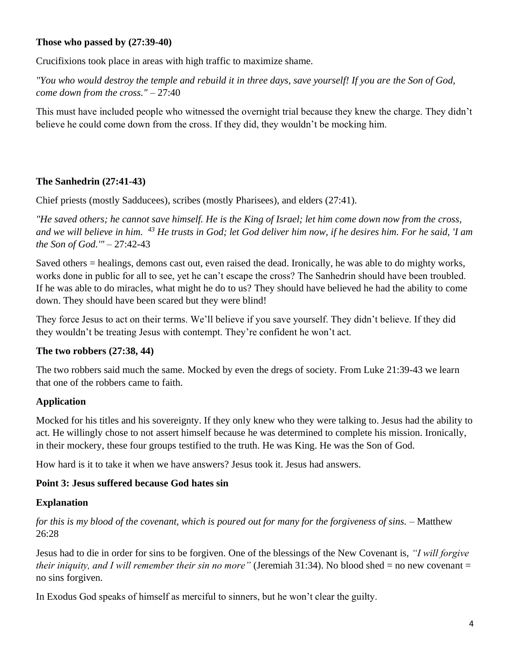#### **Those who passed by (27:39-40)**

Crucifixions took place in areas with high traffic to maximize shame.

*"You who would destroy the temple and rebuild it in three days, save yourself! If you are the Son of God, come down from the cross."* – 27:40

This must have included people who witnessed the overnight trial because they knew the charge. They didn't believe he could come down from the cross. If they did, they wouldn't be mocking him.

## **The Sanhedrin (27:41-43)**

Chief priests (mostly Sadducees), scribes (mostly Pharisees), and elders (27:41).

*"He saved others; he cannot save himself. He is the King of Israel; let him come down now from the cross, and we will believe in him. <sup>43</sup> He trusts in God; let God deliver him now, if he desires him. For he said, 'I am the Son of God.'"* – 27:42-43

Saved others = healings, demons cast out, even raised the dead. Ironically, he was able to do mighty works, works done in public for all to see, yet he can't escape the cross? The Sanhedrin should have been troubled. If he was able to do miracles, what might he do to us? They should have believed he had the ability to come down. They should have been scared but they were blind!

They force Jesus to act on their terms. We'll believe if you save yourself. They didn't believe. If they did they wouldn't be treating Jesus with contempt. They're confident he won't act.

## **The two robbers (27:38, 44)**

The two robbers said much the same. Mocked by even the dregs of society. From Luke 21:39-43 we learn that one of the robbers came to faith.

## **Application**

Mocked for his titles and his sovereignty. If they only knew who they were talking to. Jesus had the ability to act. He willingly chose to not assert himself because he was determined to complete his mission. Ironically, in their mockery, these four groups testified to the truth. He was King. He was the Son of God.

How hard is it to take it when we have answers? Jesus took it. Jesus had answers.

## **Point 3: Jesus suffered because God hates sin**

## **Explanation**

*for this is my blood of the covenant, which is poured out for many for the forgiveness of sins.* – Matthew 26:28

Jesus had to die in order for sins to be forgiven. One of the blessings of the New Covenant is, *"I will forgive their iniquity, and I will remember their sin no more*" (Jeremiah 31:34). No blood shed = no new covenant = no sins forgiven.

In Exodus God speaks of himself as merciful to sinners, but he won't clear the guilty.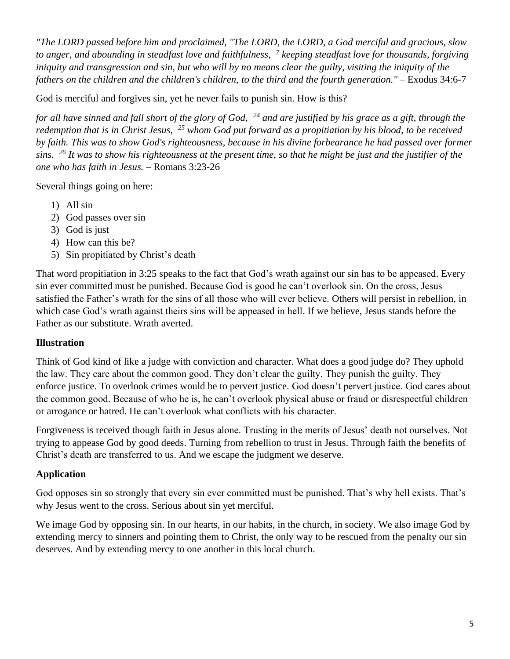*"The LORD passed before him and proclaimed, "The LORD, the LORD, a God merciful and gracious, slow to anger, and abounding in steadfast love and faithfulness, <sup>7</sup> keeping steadfast love for thousands, forgiving iniquity and transgression and sin, but who will by no means clear the guilty, visiting the iniquity of the fathers on the children and the children's children, to the third and the fourth generation."* – Exodus 34:6-7

God is merciful and forgives sin, yet he never fails to punish sin. How is this?

*for all have sinned and fall short of the glory of God, <sup>24</sup> and are justified by his grace as a gift, through the redemption that is in Christ Jesus, <sup>25</sup> whom God put forward as a propitiation by his blood, to be received by faith. This was to show God's righteousness, because in his divine forbearance he had passed over former sins. <sup>26</sup> It was to show his righteousness at the present time, so that he might be just and the justifier of the one who has faith in Jesus.* – Romans 3:23-26

Several things going on here:

- 1) All sin
- 2) God passes over sin
- 3) God is just
- 4) How can this be?
- 5) Sin propitiated by Christ's death

That word propitiation in 3:25 speaks to the fact that God's wrath against our sin has to be appeased. Every sin ever committed must be punished. Because God is good he can't overlook sin. On the cross, Jesus satisfied the Father's wrath for the sins of all those who will ever believe. Others will persist in rebellion, in which case God's wrath against theirs sins will be appeased in hell. If we believe, Jesus stands before the Father as our substitute. Wrath averted.

## **Illustration**

Think of God kind of like a judge with conviction and character. What does a good judge do? They uphold the law. They care about the common good. They don't clear the guilty. They punish the guilty. They enforce justice. To overlook crimes would be to pervert justice. God doesn't pervert justice. God cares about the common good. Because of who he is, he can't overlook physical abuse or fraud or disrespectful children or arrogance or hatred. He can't overlook what conflicts with his character.

Forgiveness is received though faith in Jesus alone. Trusting in the merits of Jesus' death not ourselves. Not trying to appease God by good deeds. Turning from rebellion to trust in Jesus. Through faith the benefits of Christ's death are transferred to us. And we escape the judgment we deserve.

## **Application**

God opposes sin so strongly that every sin ever committed must be punished. That's why hell exists. That's why Jesus went to the cross. Serious about sin yet merciful.

We image God by opposing sin. In our hearts, in our habits, in the church, in society. We also image God by extending mercy to sinners and pointing them to Christ, the only way to be rescued from the penalty our sin deserves. And by extending mercy to one another in this local church.